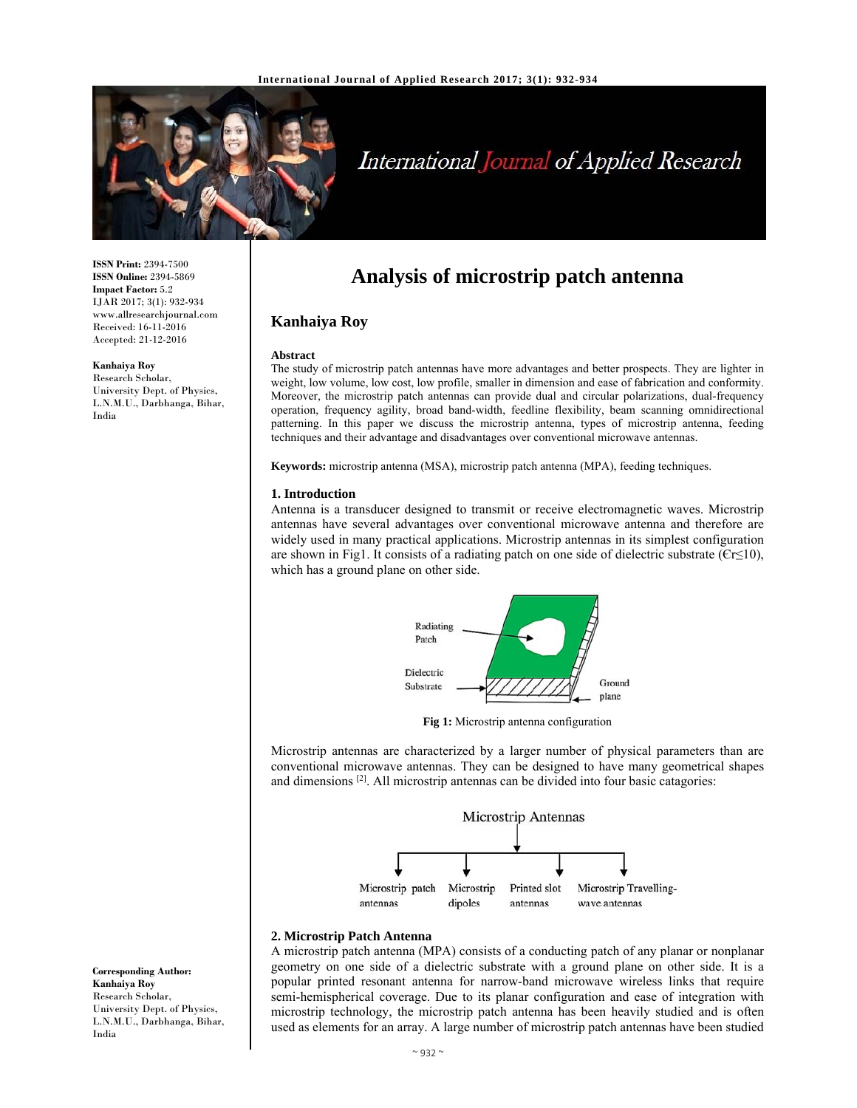

# International Journal of Applied Research

**ISSN Print:** 2394-7500 **ISSN Online:** 2394-5869 **Impact Factor:** 5.2 IJAR 2017; 3(1): 932-934 www.allresearchjournal.com Received: 16-11-2016 Accepted: 21-12-2016

**Kanhaiya Roy** 

Research Scholar, University Dept. of Physics, L.N.M.U., Darbhanga, Bihar, India

## **Analysis of microstrip patch antenna**

### **Kanhaiya Roy**

#### **Abstract**

The study of microstrip patch antennas have more advantages and better prospects. They are lighter in weight, low volume, low cost, low profile, smaller in dimension and ease of fabrication and conformity. Moreover, the microstrip patch antennas can provide dual and circular polarizations, dual-frequency operation, frequency agility, broad band-width, feedline flexibility, beam scanning omnidirectional patterning. In this paper we discuss the microstrip antenna, types of microstrip antenna, feeding techniques and their advantage and disadvantages over conventional microwave antennas.

**Keywords:** microstrip antenna (MSA), microstrip patch antenna (MPA), feeding techniques.

#### **1. Introduction**

Antenna is a transducer designed to transmit or receive electromagnetic waves. Microstrip antennas have several advantages over conventional microwave antenna and therefore are widely used in many practical applications. Microstrip antennas in its simplest configuration are shown in Fig1. It consists of a radiating patch on one side of dielectric substrate ( $Cr \leq 10$ ), which has a ground plane on other side.



**Fig 1:** Microstrip antenna configuration

Microstrip antennas are characterized by a larger number of physical parameters than are conventional microwave antennas. They can be designed to have many geometrical shapes and dimensions [2]. All microstrip antennas can be divided into four basic catagories:



#### **2. Microstrip Patch Antenna**

A microstrip patch antenna (MPA) consists of a conducting patch of any planar or nonplanar geometry on one side of a dielectric substrate with a ground plane on other side. It is a popular printed resonant antenna for narrow-band microwave wireless links that require semi-hemispherical coverage. Due to its planar configuration and ease of integration with microstrip technology, the microstrip patch antenna has been heavily studied and is often used as elements for an array. A large number of microstrip patch antennas have been studied

**Corresponding Author: Kanhaiya Roy**  Research Scholar, University Dept. of Physics, L.N.M.U., Darbhanga, Bihar, India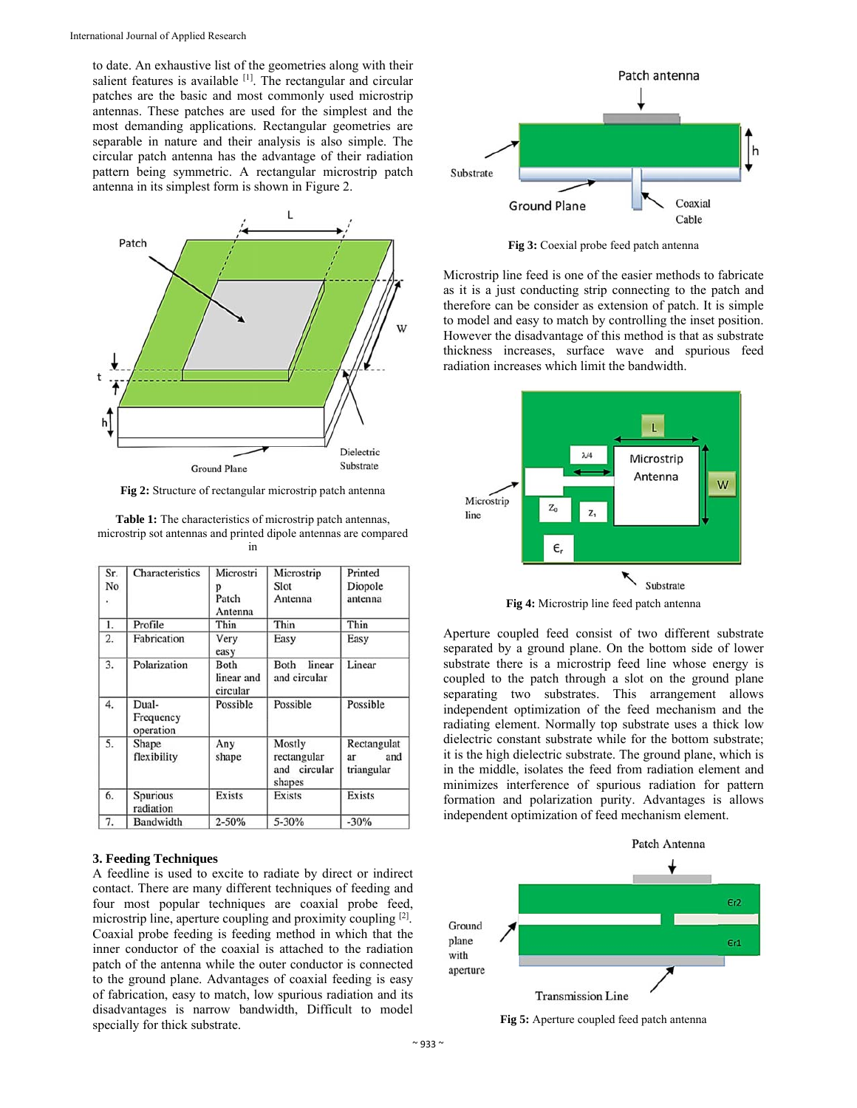to date. An exhaustive list of the geometries along with their salient features is available <sup>[1]</sup>. The rectangular and circular patches are the basic and most commonly used microstrip antennas. These patches are used for the simplest and the most demanding applications. Rectangular geometries are separable in nature and their analysis is also simple. The circular patch antenna has the advantage of their radiation pattern being symmetric. A rectangular microstrip patch antenna in its simplest form is shown in Figure 2.



**Fig 2:** Structure of rectangular microstrip patch antenna

**Table 1:** The characteristics of microstrip patch antennas, microstrip sot antennas and printed dipole antennas are compared in

| Sr.<br>No<br>è, | Characteristics                 | Microstri<br>Patch<br>Antenna  | Microstrip<br>Slot<br>Antenna                   | Printed<br>Diopole<br>antenna          |
|-----------------|---------------------------------|--------------------------------|-------------------------------------------------|----------------------------------------|
| 1.              | Profile                         | Thin                           | Thin                                            | Thin                                   |
| 2.              | Fabrication                     | Very<br>easy                   | Easy                                            | Easy                                   |
| 3.              | Polarization                    | Both<br>linear and<br>circular | Both<br>linear<br>and circular                  | Linear                                 |
| 4.              | Dual-<br>Frequency<br>operation | Possible                       | Possible                                        | Possible                               |
| 5.              | Shape<br>flexibility            | Any<br>shape                   | Mostly<br>rectangular<br>and circular<br>shapes | Rectangulat<br>and<br>ar<br>triangular |
| 6.              | Spurious<br>radiation           | Exists                         | <b>Exists</b>                                   | Exists                                 |
| 7.              | Bandwidth                       | $2 - 50%$                      | 5-30%                                           | $-30%$                                 |

#### **3. Feeding Techniques**

A feedline is used to excite to radiate by direct or indirect contact. There are many different techniques of feeding and four most popular techniques are coaxial probe feed, microstrip line, aperture coupling and proximity coupling [2]. Coaxial probe feeding is feeding method in which that the inner conductor of the coaxial is attached to the radiation patch of the antenna while the outer conductor is connected to the ground plane. Advantages of coaxial feeding is easy of fabrication, easy to match, low spurious radiation and its disadvantages is narrow bandwidth, Difficult to model specially for thick substrate.



**Fig 3:** Coexial probe feed patch antenna

Microstrip line feed is one of the easier methods to fabricate as it is a just conducting strip connecting to the patch and therefore can be consider as extension of patch. It is simple to model and easy to match by controlling the inset position. However the disadvantage of this method is that as substrate thickness increases, surface wave and spurious feed radiation increases which limit the bandwidth.





Aperture coupled feed consist of two different substrate separated by a ground plane. On the bottom side of lower substrate there is a microstrip feed line whose energy is coupled to the patch through a slot on the ground plane separating two substrates. This arrangement allows independent optimization of the feed mechanism and the radiating element. Normally top substrate uses a thick low dielectric constant substrate while for the bottom substrate; it is the high dielectric substrate. The ground plane, which is in the middle, isolates the feed from radiation element and minimizes interference of spurious radiation for pattern formation and polarization purity. Advantages is allows independent optimization of feed mechanism element.



**Fig 5:** Aperture coupled feed patch antenna